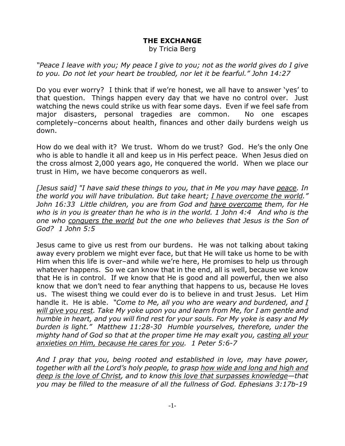## **THE EXCHANGE**

by Tricia Berg

*"Peace I leave with you; My peace I give to you; not as the world gives do I give to you. Do not let your heart be troubled, nor let it be fearful." John 14:27*

Do you ever worry? I think that if we're honest, we all have to answer 'yes' to that question. Things happen every day that we have no control over. Just watching the news could strike us with fear some days. Even if we feel safe from major disasters, personal tragedies are common. No one escapes completely–concerns about health, finances and other daily burdens weigh us down.

How do we deal with it? We trust. Whom do we trust? God. He's the only One who is able to handle it all and keep us in His perfect peace. When Jesus died on the cross almost 2,000 years ago, He conquered the world. When we place our trust in Him, we have become conquerors as well.

*[Jesus said] "I have said these things to you, that in Me you may have peace. In the world you will have tribulation. But take heart; I have overcome the world." John 16:33 Little children, you are from God and have overcome them, for He who is in you is greater than he who is in the world. 1 John 4:4 And who is the one who conquers the world but the one who believes that Jesus is the Son of God? 1 John 5:5*

Jesus came to give us rest from our burdens. He was not talking about taking away every problem we might ever face, but that He will take us home to be with Him when this life is over–and while we're here, He promises to help us through whatever happens. So we can know that in the end, all is well, because we know that He is in control. If we know that He is good and all powerful, then we also know that we don't need to fear anything that happens to us, because He loves us. The wisest thing we could ever do is to believe in and trust Jesus. Let Him handle it. He is able. *"Come to Me, all you who are weary and burdened, and I will give you rest. Take My yoke upon you and learn from Me, for I am gentle and humble in heart, and you will find rest for your souls. For My yoke is easy and My burden is light." Matthew 11:28-30 Humble yourselves, therefore, under the mighty hand of God so that at the proper time He may exalt you, casting all your anxieties on Him, because He cares for you. 1 Peter 5:6-7*

*And I pray that you, being rooted and established in love, may have power, together with all the Lord's holy people, to grasp how wide and long and high and deep is the love of Christ, and to know this love that surpasses knowledge—that you may be filled to the measure of all the fullness of God. Ephesians 3:17b-19*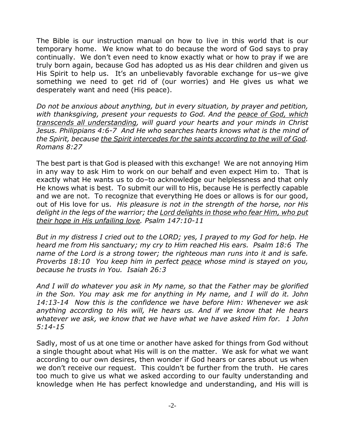The Bible is our instruction manual on how to live in this world that is our temporary home. We know what to do because the word of God says to pray continually. We don't even need to know exactly what or how to pray if we are truly born again, because God has adopted us as His dear children and given us His Spirit to help us. It's an unbelievably favorable exchange for us-we give something we need to get rid of (our worries) and He gives us what we desperately want and need (His peace).

*Do not be anxious about anything, but in every situation, by prayer and petition, with thanksgiving, present your requests to God. And the peace of God, which transcends all understanding, will guard your hearts and your minds in Christ Jesus. Philippians 4:6-7 And He who searches hearts knows what is the mind of the Spirit, because the Spirit intercedes for the saints according to the will of God. Romans 8:27*

The best part is that God is pleased with this exchange! We are not annoying Him in any way to ask Him to work on our behalf and even expect Him to. That is exactly what He wants us to do–to acknowledge our helplessness and that only He knows what is best. To submit our will to His, because He is perfectly capable and we are not. To recognize that everything He does or allows is for our good, out of His love for us. *His pleasure is not in the strength of the horse, nor His delight in the legs of the warrior; the Lord delights in those who fear Him, who put their hope in His unfailing love. Psalm 147:10-11*

*But in my distress I cried out to the LORD; yes, I prayed to my God for help. He heard me from His sanctuary; my cry to Him reached His ears. Psalm 18:6 The name of the Lord is a strong tower; the righteous man runs into it and is safe. Proverbs 18:10 You keep him in perfect peace whose mind is stayed on you, because he trusts in You. Isaiah 26:3*

*And I will do whatever you ask in My name, so that the Father may be glorified in the Son. You may ask me for anything in My name, and I will do it. John 14:13-14 Now this is the confidence we have before Him: Whenever we ask anything according to His will, He hears us. And if we know that He hears whatever we ask, we know that we have what we have asked Him for. 1 John 5:14-15*

Sadly, most of us at one time or another have asked for things from God without a single thought about what His will is on the matter. We ask for what we want according to our own desires, then wonder if God hears or cares about us when we don't receive our request. This couldn't be further from the truth. He cares too much to give us what we asked according to our faulty understanding and knowledge when He has perfect knowledge and understanding, and His will is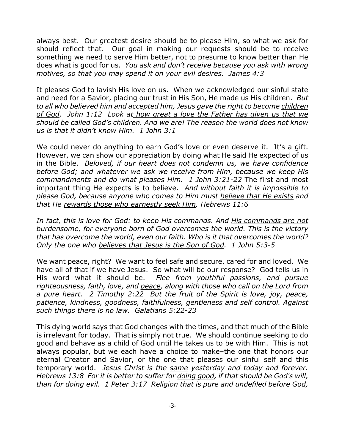always best. Our greatest desire should be to please Him, so what we ask for should reflect that. Our goal in making our requests should be to receive something we need to serve Him better, not to presume to know better than He does what is good for us. *You ask and don't receive because you ask with wrong motives, so that you may spend it on your evil desires. James 4:3*

It pleases God to lavish His love on us. When we acknowledged our sinful state and need for a Savior, placing our trust in His Son, He made us His children. *But to all who believed him and accepted him, Jesus gave the right to become children of God. John 1:12 Look at how great a love the Father has given us that we should be called God's children. And we are! The reason the world does not know us is that it didn't know Him. 1 John 3:1*

We could never do anything to earn God's love or even deserve it. It's a gift. However, we can show our appreciation by doing what He said He expected of us in the Bible. *Beloved, if our heart does not condemn us, we have confidence before God; and whatever we ask we receive from Him, because we keep His commandments and do what pleases Him. 1 John 3:21-22* The first and most important thing He expects is to believe. *And without faith it is impossible to please God, because anyone who comes to Him must believe that He exists and that He rewards those who earnestly seek Him. Hebrews 11:6*

*In fact, this is love for God: to keep His commands. And His commands are not burdensome, for everyone born of God overcomes the world. This is the victory that has overcome the world, even our faith. Who is it that overcomes the world? Only the one who believes that Jesus is the Son of God. 1 John 5:3-5*

We want peace, right? We want to feel safe and secure, cared for and loved. We have all of that if we have Jesus. So what will be our response? God tells us in His word what it should be. *Flee from youthful passions, and pursue righteousness, faith, love, and peace, along with those who call on the Lord from a pure heart. 2 Timothy 2:22 But the fruit of the Spirit is love, joy, peace, patience, kindness, goodness, faithfulness, gentleness and self control. Against such things there is no law. Galatians 5:22-23*

This dying world says that God changes with the times, and that much of the Bible is irrelevant for today. That is simply not true. We should continue seeking to do good and behave as a child of God until He takes us to be with Him. This is not always popular, but we each have a choice to make–the one that honors our eternal Creator and Savior, or the one that pleases our sinful self and this temporary world. *Jesus Christ is the same yesterday and today and forever. Hebrews 13:8 For it is better to suffer for doing good, if that should be God's will, than for doing evil. 1 Peter 3:17 Religion that is pure and undefiled before God,*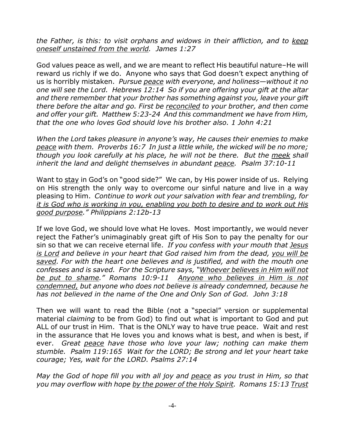*the Father, is this: to visit orphans and widows in their affliction, and to keep oneself unstained from the world. James 1:27*

God values peace as well, and we are meant to reflect His beautiful nature–He will reward us richly if we do. Anyone who says that God doesn't expect anything of us is horribly mistaken. *Pursue peace with everyone, and holiness—without it no one will see the Lord. Hebrews 12:14 So if you are offering your gift at the altar and there remember that your brother has something against you, leave your gift there before the altar and go. First be reconciled to your brother, and then come and offer your gift. Matthew 5:23-24 And this commandment we have from Him, that the one who loves God should love his brother also. 1 John 4:21* 

*When the Lord takes pleasure in anyone's way, He causes their enemies to make peace with them. Proverbs 16:7 In just a little while, the wicked will be no more; though you look carefully at his place, he will not be there. But the meek shall inherit the land and delight themselves in abundant peace. Psalm 37:10-11*

Want to stay in God's on "good side?" We can, by His power inside of us. Relying on His strength the only way to overcome our sinful nature and live in a way pleasing to Him. *Continue to work out your salvation with fear and trembling, for it is God who is working in you, enabling you both to desire and to work out His good purpose." Philippians 2:12b-13* 

If we love God, we should love what He loves. Most importantly, we would never reject the Father's unimaginably great gift of His Son to pay the penalty for our sin so that we can receive eternal life. *If you confess with your mouth that Jesus is Lord and believe in your heart that God raised him from the dead, you will be saved. For with the heart one believes and is justified, and with the mouth one confesses and is saved. For the Scripture says, "Whoever believes in Him will not be put to shame." Romans 10:9-11 Anyone who believes in Him is not condemned, but anyone who does not believe is already condemned, because he has not believed in the name of the One and Only Son of God. John 3:18*

Then we will want to read the Bible (not a "special" version or supplemental material *claiming* to be from God) to find out what is important to God and put ALL of our trust in Him. That is the ONLY way to have true peace. Wait and rest in the assurance that He loves you and knows what is best, and when is best, if ever. *Great peace have those who love your law; nothing can make them stumble. Psalm 119:165 Wait for the LORD; Be strong and let your heart take courage; Yes, wait for the LORD. Psalms 27:14* 

*May the God of hope fill you with all joy and peace as you trust in Him, so that you may overflow with hope by the power of the Holy Spirit. Romans 15:13 Trust*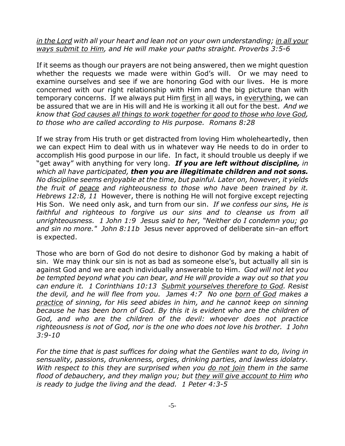## *in the Lord with all your heart and lean not on your own understanding; in all your ways submit to Him, and He will make your paths straight. Proverbs 3:5-6*

If it seems as though our prayers are not being answered, then we might question whether the requests we made were within God's will. Or we may need to examine ourselves and see if we are honoring God with our lives. He is more concerned with our right relationship with Him and the big picture than with temporary concerns. If we always put Him first in all ways, in everything, we can be assured that we are in His will and He is working it all out for the best. *And we know that God causes all things to work together for good to those who love God, to those who are called according to His purpose. Romans 8:28*

If we stray from His truth or get distracted from loving Him wholeheartedly, then we can expect Him to deal with us in whatever way He needs to do in order to accomplish His good purpose in our life. In fact, it should trouble us deeply if we "get away" with anything for very long. *If you are left without discipline, in which all have participated, then you are illegitimate children and not sons. No discipline seems enjoyable at the time, but painful. Later on, however, it yields the fruit of peace and righteousness to those who have been trained by it. Hebrews 12:8, 11* However, there is nothing He will not forgive except rejecting His Son.We need only ask, and turn from our sin. *If we confess our sins, He is faithful and righteous to forgive us our sins and to cleanse us from all unrighteousness. 1 John 1:9 Jesus said to her, "Neither do I condemn you; go and sin no more." John 8:11b* Jesus never approved of deliberate sin–an effort is expected.

Those who are born of God do not desire to dishonor God by making a habit of sin. We may think our sin is not as bad as someone else's, but actually all sin is against God and we are each individually answerable to Him. *God will not let you be tempted beyond what you can bear, and He will provide a way out so that you can endure it. 1 Corinthians 10:13 Submit yourselves therefore to God. Resist the devil, and he will flee from you. James 4:7 No one born of God makes a practice of sinning, for His seed abides in him, and he cannot keep on sinning because he has been born of God. By this it is evident who are the children of God, and who are the children of the devil: whoever does not practice righteousness is not of God, nor is the one who does not love his brother. 1 John 3:9-10*

*For the time that is past suffices for doing what the Gentiles want to do, living in sensuality, passions, drunkenness, orgies, drinking parties, and lawless idolatry. With respect to this they are surprised when you do not join them in the same flood of debauchery, and they malign you; but they will give account to Him who is ready to judge the living and the dead. 1 Peter 4:3-5*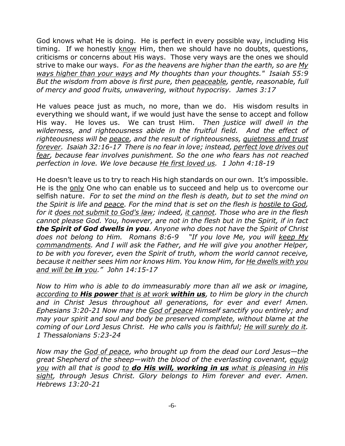God knows what He is doing. He is perfect in every possible way, including His timing. If we honestly know Him, then we should have no doubts, questions, criticisms or concerns about His ways. Those very ways are the ones we should strive to make our ways. *For as the heavens are higher than the earth, so are My ways higher than your ways and My thoughts than your thoughts." Isaiah 55:9 But the wisdom from above is first pure, then peaceable, gentle, reasonable, full of mercy and good fruits, unwavering, without hypocrisy. James 3:17*

He values peace just as much, no more, than we do. His wisdom results in everything we should want, if we would just have the sense to accept and follow His way. He loves us. We can trust Him. *Then justice will dwell in the wilderness, and righteousness abide in the fruitful field. And the effect of righteousness will be peace, and the result of righteousness, quietness and trust forever. Isaiah 32:16-17 There is no fear in love; instead, perfect love drives out fear, because fear involves punishment. So the one who fears has not reached perfection in love. We love because He first loved us. 1 John 4:18-19*

He doesn't leave us to try to reach His high standards on our own. It's impossible. He is the only One who can enable us to succeed and help us to overcome our selfish nature. *For to set the mind on the flesh is death, but to set the mind on the Spirit is life and peace. For the mind that is set on the flesh is hostile to God, for it does not submit to God's law; indeed, it cannot. Those who are in the flesh cannot please God. You, however, are not in the flesh but in the Spirit, if in fact the Spirit of God dwells in you. Anyone who does not have the Spirit of Christ does not belong to Him. Romans 8:6-9 "If you love Me, you will keep My commandments. And I will ask the Father, and He will give you another Helper, to be with you forever, even the Spirit of truth, whom the world cannot receive, because it neither sees Him nor knows Him. You know Him, for He dwells with you and will be in you." John 14:15-17*

*Now to Him who is able to do immeasurably more than all we ask or imagine, according to His power that is at work within us, to Him be glory in the church and in Christ Jesus throughout all generations, for ever and ever! Amen. Ephesians 3:20-21 Now may the God of peace Himself sanctify you entirely; and may your spirit and soul and body be preserved complete, without blame at the coming of our Lord Jesus Christ. He who calls you is faithful; He will surely do it. 1 Thessalonians 5:23-24*

*Now may the God of peace, who brought up from the dead our Lord Jesus—the great Shepherd of the sheep—with the blood of the everlasting covenant, equip you with all that is good to do His will, working in us what is pleasing in His sight, through Jesus Christ. Glory belongs to Him forever and ever. Amen. Hebrews 13:20-21*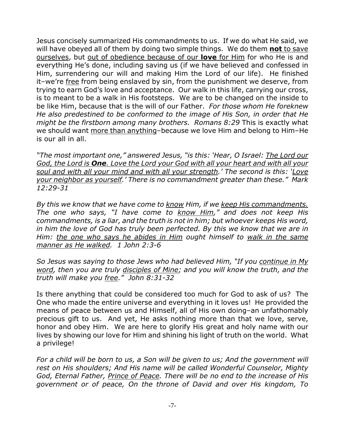Jesus concisely summarized His commandments to us. If we do what He said, we will have obeyed all of them by doing two simple things. We do them **not** to save ourselves, but out of obedience because of our **love** for Him for who He is and everything He's done, including saving us (if we have believed and confessed in Him, surrendering our will and making Him the Lord of our life). He finished it-we're free from being enslaved by sin, from the punishment we deserve, from trying to earn God's love and acceptance. Our walk in this life, carrying our cross, is to meant to be a walk in His footsteps. We are to be changed on the inside to be like Him, because that is the will of our Father. *For those whom He foreknew He also predestined to be conformed to the image of His Son, in order that He might be the firstborn among many brothers. Romans 8:29* This is exactly what we should want more than anything–because we love Him and belong to Him–He is our all in all.

*"The most important one," answered Jesus, "is this: 'Hear, O Israel: The Lord our God, the Lord is One. Love the Lord your God with all your heart and with all your soul and with all your mind and with all your strength.' The second is this: 'Love your neighbor as yourself.' There is no commandment greater than these." Mark 12:29-31*

*By this we know that we have come to know Him, if we keep His commandments. The one who says, "I have come to know Him," and does not keep His commandments, is a liar, and the truth is not in him; but whoever keeps His word, in him the love of God has truly been perfected. By this we know that we are in Him: the one who says he abides in Him ought himself to walk in the same manner as He walked. 1 John 2:3-6*

*So Jesus was saying to those Jews who had believed Him, "If you continue in My word, then you are truly disciples of Mine; and you will know the truth, and the truth will make you free." John 8:31-32*

Is there anything that could be considered too much for God to ask of us? The One who made the entire universe and everything in it loves us! He provided the means of peace between us and Himself, all of His own doing–an unfathomably precious gift to us. And yet, He asks nothing more than that we love, serve, honor and obey Him. We are here to glorify His great and holy name with our lives by showing our love for Him and shining his light of truth on the world. What a privilege!

*For a child will be born to us, a Son will be given to us; And the government will rest on His shoulders; And His name will be called Wonderful Counselor, Mighty God, Eternal Father, Prince of Peace. There will be no end to the increase of His government or of peace, On the throne of David and over His kingdom, To*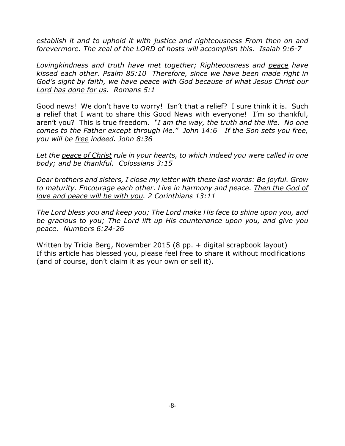*establish it and to uphold it with justice and righteousness From then on and forevermore. The zeal of the LORD of hosts will accomplish this. Isaiah 9:6-7*

*Lovingkindness and truth have met together; Righteousness and peace have kissed each other. Psalm 85:10 Therefore, since we have been made right in God's sight by faith, we have peace with God because of what Jesus Christ our Lord has done for us. Romans 5:1*

Good news! We don't have to worry! Isn't that a relief? I sure think it is. Such a relief that I want to share this Good News with everyone! I'm so thankful, aren't you? This is true freedom. *"I am the way, the truth and the life. No one comes to the Father except through Me." John 14:6 If the Son sets you free, you will be free indeed. John 8:36*

*Let the peace of Christ rule in your hearts, to which indeed you were called in one body; and be thankful. Colossians 3:15*

*Dear brothers and sisters, I close my letter with these last words: Be joyful. Grow to maturity. Encourage each other. Live in harmony and peace. Then the God of love and peace will be with you. 2 Corinthians 13:11*

*The Lord bless you and keep you; The Lord make His face to shine upon you, and be gracious to you; The Lord lift up His countenance upon you, and give you peace. Numbers 6:24-26*

Written by Tricia Berg, November 2015 (8 pp. + digital scrapbook layout) If this article has blessed you, please feel free to share it without modifications (and of course, don't claim it as your own or sell it).